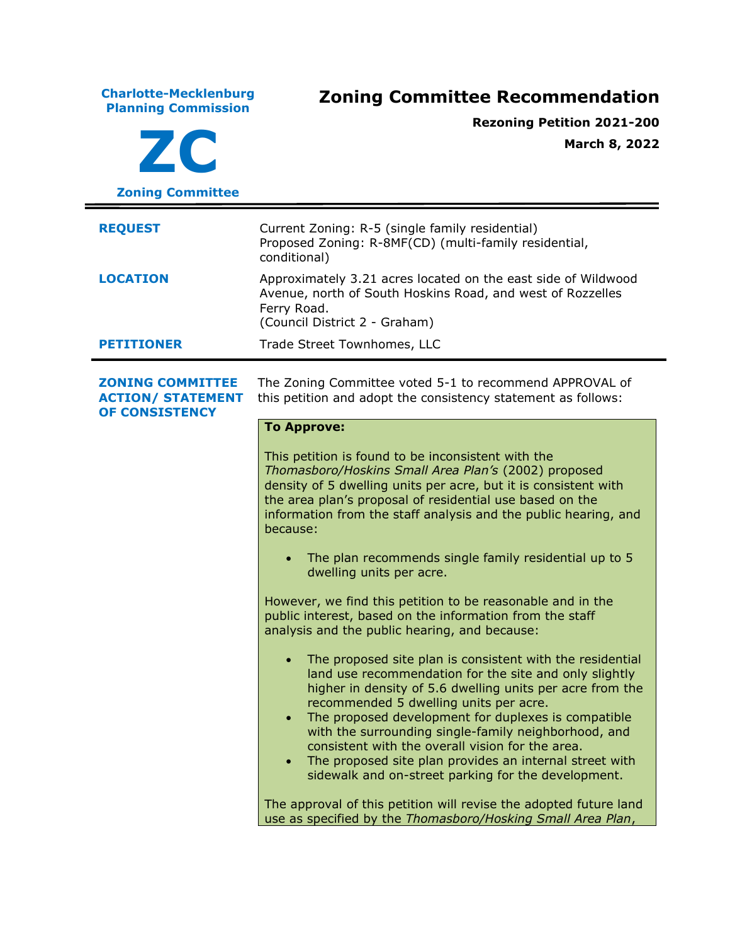**Charlotte-Mecklenburg Planning Commission Zoning Committee Recommendation ZC Zoning Committee Rezoning Petition 2021-200 March 8, 2022 REQUEST** Current Zoning: R-5 (single family residential) Proposed Zoning: R-8MF(CD) (multi-family residential, conditional) **LOCATION** Approximately 3.21 acres located on the east side of Wildwood Avenue, north of South Hoskins Road, and west of Rozzelles Ferry Road. (Council District 2 - Graham) **PETITIONER** Trade Street Townhomes, LLC **ZONING COMMITTEE ACTION/ STATEMENT OF CONSISTENCY** The Zoning Committee voted 5-1 to recommend APPROVAL of this petition and adopt the consistency statement as follows: **To Approve:** This petition is found to be inconsistent with the *Thomasboro/Hoskins Small Area Plan's* (2002) proposed density of 5 dwelling units per acre, but it is consistent with the area plan's proposal of residential use based on the information from the staff analysis and the public hearing, and because: The plan recommends single family residential up to 5 dwelling units per acre. However, we find this petition to be reasonable and in the public interest, based on the information from the staff analysis and the public hearing, and because: • The proposed site plan is consistent with the residential land use recommendation for the site and only slightly higher in density of 5.6 dwelling units per acre from the recommended 5 dwelling units per acre. The proposed development for duplexes is compatible with the surrounding single-family neighborhood, and consistent with the overall vision for the area. • The proposed site plan provides an internal street with sidewalk and on-street parking for the development. The approval of this petition will revise the adopted future land use as specified by the *Thomasboro/Hosking Small Area Plan*,